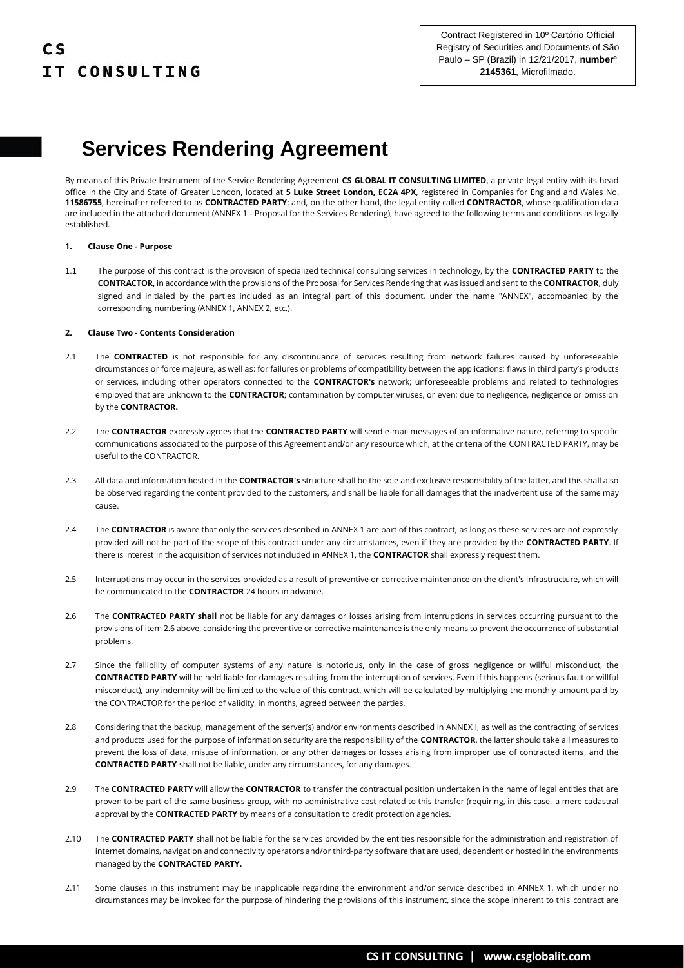

By means of this Private Instrument of the Service Rendering Agreement **CS GLOBAL IT CONSULTING LIMITED**, a private legal entity with its head office in the City and State of Greater London, located at **5 Luke Street London, EC2A 4PX**, registered in Companies for England and Wales No. **11586755**, hereinafter referred to as **CONTRACTED PARTY**; and, on the other hand, the legal entity called **CONTRACTOR**, whose qualification data are included in the attached document (ANNEX 1 - Proposal for the Services Rendering), have agreed to the following terms and conditions as legally established.

### **1. Clause One - Purpose**

1.1 The purpose of this contract is the provision of specialized technical consulting services in technology, by the **CONTRACTED PARTY** to the **CONTRACTOR**, in accordance with the provisions of the Proposal for Services Rendering that was issued and sent to the **CONTRACTOR**, duly signed and initialed by the parties included as an integral part of this document, under the name "ANNEX", accompanied by the corresponding numbering (ANNEX 1, ANNEX 2, etc.).

### **2. Clause Two - Contents Consideration**

- 2.1 The **CONTRACTED** is not responsible for any discontinuance of services resulting from network failures caused by unforeseeable circumstances or force majeure, as well as: for failures or problems of compatibility between the applications; flaws in third party's products or services, including other operators connected to the **CONTRACTOR's** network; unforeseeable problems and related to technologies employed that are unknown to the **CONTRACTOR**; contamination by computer viruses, or even; due to negligence, negligence or omission by the **CONTRACTOR.**
- 2.2 The **CONTRACTOR** expressly agrees that the **CONTRACTED PARTY** will send e-mail messages of an informative nature, referring to specific communications associated to the purpose of this Agreement and/or any resource which, at the criteria of the CONTRACTED PARTY, may be useful to the CONTRACTOR**.**
- 2.3 All data and information hosted in the **CONTRACTOR's** structure shall be the sole and exclusive responsibility of the latter, and this shall also be observed regarding the content provided to the customers, and shall be liable for all damages that the inadvertent use of the same may cause.
- 2.4 The **CONTRACTOR** is aware that only the services described in ANNEX 1 are part of this contract, as long as these services are not expressly provided will not be part of the scope of this contract under any circumstances, even if they are provided by the **CONTRACTED PARTY**. If there is interest in the acquisition of services not included in ANNEX 1, the **CONTRACTOR** shall expressly request them.
- 2.5 Interruptions may occur in the services provided as a result of preventive or corrective maintenance on the client's infrastructure, which will be communicated to the **CONTRACTOR** 24 hours in advance.
- 2.6 The **CONTRACTED PARTY shall** not be liable for any damages or losses arising from interruptions in services occurring pursuant to the provisions of item 2.6 above, considering the preventive or corrective maintenance is the only means to prevent the occurrence of substantial problems.
- 2.7 Since the fallibility of computer systems of any nature is notorious, only in the case of gross negligence or willful misconduct, the **CONTRACTED PARTY** will be held liable for damages resulting from the interruption of services. Even if this happens (serious fault or willful misconduct), any indemnity will be limited to the value of this contract, which will be calculated by multiplying the monthly amount paid by the CONTRACTOR for the period of validity, in months, agreed between the parties.
- 2.8 Considering that the backup, management of the server(s) and/or environments described in ANNEX I, as well as the contracting of services and products used for the purpose of information security are the responsibility of the **CONTRACTOR**, the latter should take all measures to prevent the loss of data, misuse of information, or any other damages or losses arising from improper use of contracted items, and the **CONTRACTED PARTY** shall not be liable, under any circumstances, for any damages.
- 2.9 The **CONTRACTED PARTY** will allow the **CONTRACTOR** to transfer the contractual position undertaken in the name of legal entities that are proven to be part of the same business group, with no administrative cost related to this transfer (requiring, in this case, a mere cadastral approval by the **CONTRACTED PARTY** by means of a consultation to credit protection agencies.
- 2.10 The **CONTRACTED PARTY** shall not be liable for the services provided by the entities responsible for the administration and registration of internet domains, navigation and connectivity operators and/or third-party software that are used, dependent or hosted in the environments managed by the **CONTRACTED PARTY.**
- 2.11 Some clauses in this instrument may be inapplicable regarding the environment and/or service described in ANNEX 1, which under no circumstances may be invoked for the purpose of hindering the provisions of this instrument, since the scope inherent to this contract are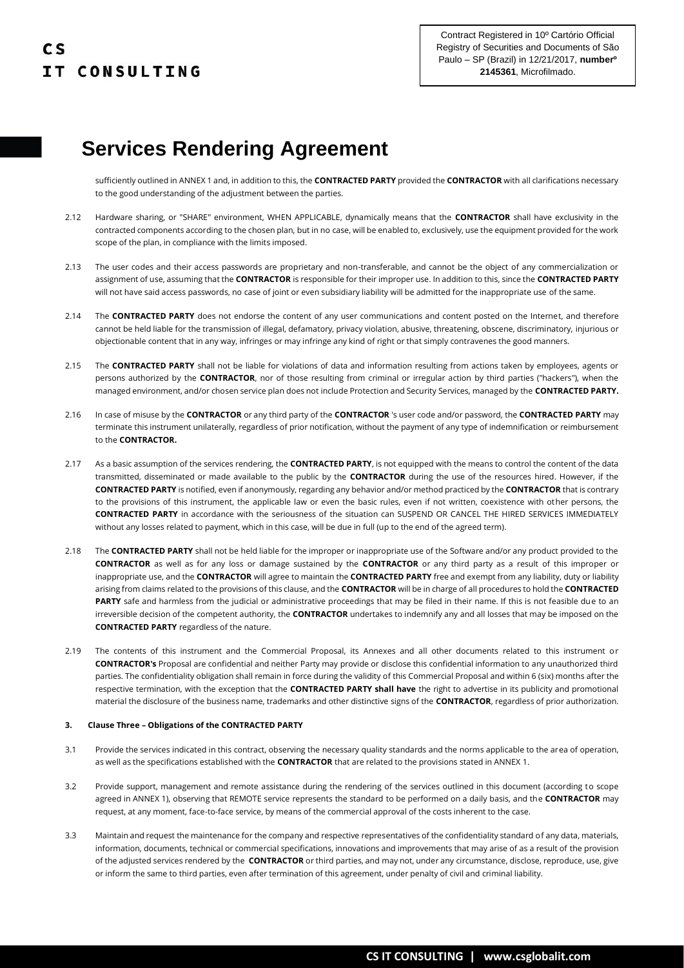sufficiently outlined in ANNEX 1 and, in addition to this, the **CONTRACTED PARTY** provided the **CONTRACTOR** with all clarifications necessary to the good understanding of the adjustment between the parties.

- 2.12 Hardware sharing, or "SHARE" environment, WHEN APPLICABLE, dynamically means that the **CONTRACTOR** shall have exclusivity in the contracted components according to the chosen plan, but in no case, will be enabled to, exclusively, use the equipment provided for the work scope of the plan, in compliance with the limits imposed.
- 2.13 The user codes and their access passwords are proprietary and non-transferable, and cannot be the object of any commercialization or assignment of use, assuming that the **CONTRACTOR** is responsible for their improper use. In addition to this, since the **CONTRACTED PARTY** will not have said access passwords, no case of joint or even subsidiary liability will be admitted for the inappropriate use of the same.
- 2.14 The **CONTRACTED PARTY** does not endorse the content of any user communications and content posted on the Internet, and therefore cannot be held liable for the transmission of illegal, defamatory, privacy violation, abusive, threatening, obscene, discriminatory, injurious or objectionable content that in any way, infringes or may infringe any kind of right or that simply contravenes the good manners.
- 2.15 The **CONTRACTED PARTY** shall not be liable for violations of data and information resulting from actions taken by employees, agents or persons authorized by the **CONTRACTOR**, nor of those resulting from criminal or irregular action by third parties ("hackers"), when the managed environment, and/or chosen service plan does not include Protection and Security Services, managed by the **CONTRACTED PARTY.**
- 2.16 In case of misuse by the **CONTRACTOR** or any third party of the **CONTRACTOR** 's user code and/or password, the **CONTRACTED PARTY** may terminate this instrument unilaterally, regardless of prior notification, without the payment of any type of indemnification or reimbursement to the **CONTRACTOR.**
- 2.17 As a basic assumption of the services rendering, the **CONTRACTED PARTY**, is not equipped with the means to control the content of the data transmitted, disseminated or made available to the public by the **CONTRACTOR** during the use of the resources hired. However, if the **CONTRACTED PARTY** is notified, even if anonymously, regarding any behavior and/or method practiced by the **CONTRACTOR** that is contrary to the provisions of this instrument, the applicable law or even the basic rules, even if not written, coexistence with other persons, the **CONTRACTED PARTY** in accordance with the seriousness of the situation can SUSPEND OR CANCEL THE HIRED SERVICES IMMEDIATELY without any losses related to payment, which in this case, will be due in full (up to the end of the agreed term).
- 2.18 The **CONTRACTED PARTY** shall not be held liable for the improper or inappropriate use of the Software and/or any product provided to the **CONTRACTOR** as well as for any loss or damage sustained by the **CONTRACTOR** or any third party as a result of this improper or inappropriate use, and the **CONTRACTOR** will agree to maintain the **CONTRACTED PARTY** free and exempt from any liability, duty or liability arising from claims related to the provisions of this clause, and the **CONTRACTOR** will be in charge of all procedures to hold the **CONTRACTED**  PARTY safe and harmless from the judicial or administrative proceedings that may be filed in their name. If this is not feasible due to an irreversible decision of the competent authority, the **CONTRACTOR** undertakes to indemnify any and all losses that may be imposed on the **CONTRACTED PARTY** regardless of the nature.
- 2.19 The contents of this instrument and the Commercial Proposal, its Annexes and all other documents related to this instrument or **CONTRACTOR's** Proposal are confidential and neither Party may provide or disclose this confidential information to any unauthorized third parties. The confidentiality obligation shall remain in force during the validity of this Commercial Proposal and within 6 (six) months after the respective termination, with the exception that the **CONTRACTED PARTY shall have** the right to advertise in its publicity and promotional material the disclosure of the business name, trademarks and other distinctive signs of the **CONTRACTOR**, regardless of prior authorization.

### **3. Clause Three – Obligations of the CONTRACTED PARTY**

- 3.1 Provide the services indicated in this contract, observing the necessary quality standards and the norms applicable to the area of operation, as well as the specifications established with the **CONTRACTOR** that are related to the provisions stated in ANNEX 1.
- 3.2 Provide support, management and remote assistance during the rendering of the services outlined in this document (according to scope agreed in ANNEX 1), observing that REMOTE service represents the standard to be performed on a daily basis, and the **CONTRACTOR** may request, at any moment, face-to-face service, by means of the commercial approval of the costs inherent to the case.
- 3.3 Maintain and request the maintenance for the company and respective representatives of the confidentiality standard of any data, materials, information, documents, technical or commercial specifications, innovations and improvements that may arise of as a result of the provision of the adjusted services rendered by the **CONTRACTOR** or third parties, and may not, under any circumstance, disclose, reproduce, use, give or inform the same to third parties, even after termination of this agreement, under penalty of civil and criminal liability.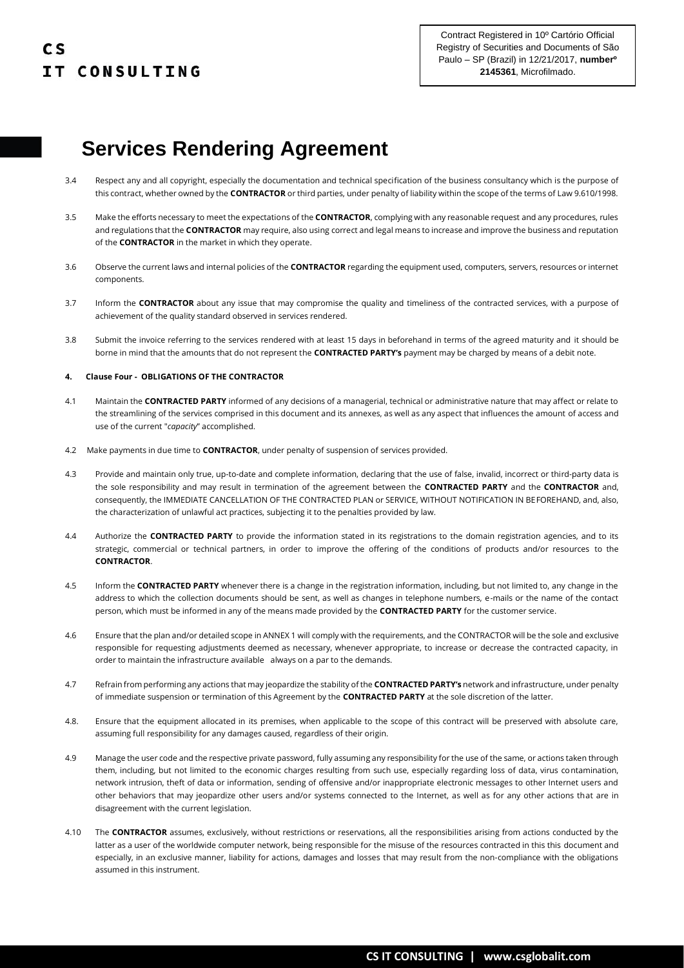- 3.4 Respect any and all copyright, especially the documentation and technical specification of the business consultancy which is the purpose of this contract, whether owned by the **CONTRACTOR** or third parties, under penalty of liability within the scope of the terms of Law 9.610/1998.
- 3.5 Make the efforts necessary to meet the expectations of the **CONTRACTOR**, complying with any reasonable request and any procedures, rules and regulations that the **CONTRACTOR** may require, also using correct and legal means to increase and improve the business and reputation of the **CONTRACTOR** in the market in which they operate.
- 3.6 Observe the current laws and internal policies of the **CONTRACTOR** regarding the equipment used, computers, servers, resources or internet components.
- 3.7 Inform the **CONTRACTOR** about any issue that may compromise the quality and timeliness of the contracted services, with a purpose of achievement of the quality standard observed in services rendered.
- 3.8 Submit the invoice referring to the services rendered with at least 15 days in beforehand in terms of the agreed maturity and it should be borne in mind that the amounts that do not represent the **CONTRACTED PARTY's** payment may be charged by means of a debit note.

### **4. Clause Four - OBLIGATIONS OF THE CONTRACTOR**

- 4.1 Maintain the **CONTRACTED PARTY** informed of any decisions of a managerial, technical or administrative nature that may affect or relate to the streamlining of the services comprised in this document and its annexes, as well as any aspect that influences the amount of access and use of the current "*capacity*" accomplished.
- 4.2 Make payments in due time to **CONTRACTOR**, under penalty of suspension of services provided.
- 4.3 Provide and maintain only true, up-to-date and complete information, declaring that the use of false, invalid, incorrect or third-party data is the sole responsibility and may result in termination of the agreement between the **CONTRACTED PARTY** and the **CONTRACTOR** and, consequently, the IMMEDIATE CANCELLATION OF THE CONTRACTED PLAN or SERVICE, WITHOUT NOTIFICATION IN BEFOREHAND, and, also, the characterization of unlawful act practices, subjecting it to the penalties provided by law.
- 4.4 Authorize the **CONTRACTED PARTY** to provide the information stated in its registrations to the domain registration agencies, and to its strategic, commercial or technical partners, in order to improve the offering of the conditions of products and/or resources to the **CONTRACTOR**.
- 4.5 Inform the **CONTRACTED PARTY** whenever there is a change in the registration information, including, but not limited to, any change in the address to which the collection documents should be sent, as well as changes in telephone numbers, e-mails or the name of the contact person, which must be informed in any of the means made provided by the **CONTRACTED PARTY** for the customer service.
- 4.6 Ensure that the plan and/or detailed scope in ANNEX 1 will comply with the requirements, and the CONTRACTOR will be the sole and exclusive responsible for requesting adjustments deemed as necessary, whenever appropriate, to increase or decrease the contracted capacity, in order to maintain the infrastructure available always on a par to the demands.
- 4.7 Refrain from performing any actions that may jeopardize the stability of the **CONTRACTED PARTY's** network and infrastructure, under penalty of immediate suspension or termination of this Agreement by the **CONTRACTED PARTY** at the sole discretion of the latter.
- 4.8. Ensure that the equipment allocated in its premises, when applicable to the scope of this contract will be preserved with absolute care, assuming full responsibility for any damages caused, regardless of their origin.
- 4.9 Manage the user code and the respective private password, fully assuming any responsibility for the use of the same, or actions taken through them, including, but not limited to the economic charges resulting from such use, especially regarding loss of data, virus contamination, network intrusion, theft of data or information, sending of offensive and/or inappropriate electronic messages to other Internet users and other behaviors that may jeopardize other users and/or systems connected to the Internet, as well as for any other actions that are in disagreement with the current legislation.
- 4.10 The **CONTRACTOR** assumes, exclusively, without restrictions or reservations, all the responsibilities arising from actions conducted by the latter as a user of the worldwide computer network, being responsible for the misuse of the resources contracted in this this document and especially, in an exclusive manner, liability for actions, damages and losses that may result from the non-compliance with the obligations assumed in this instrument.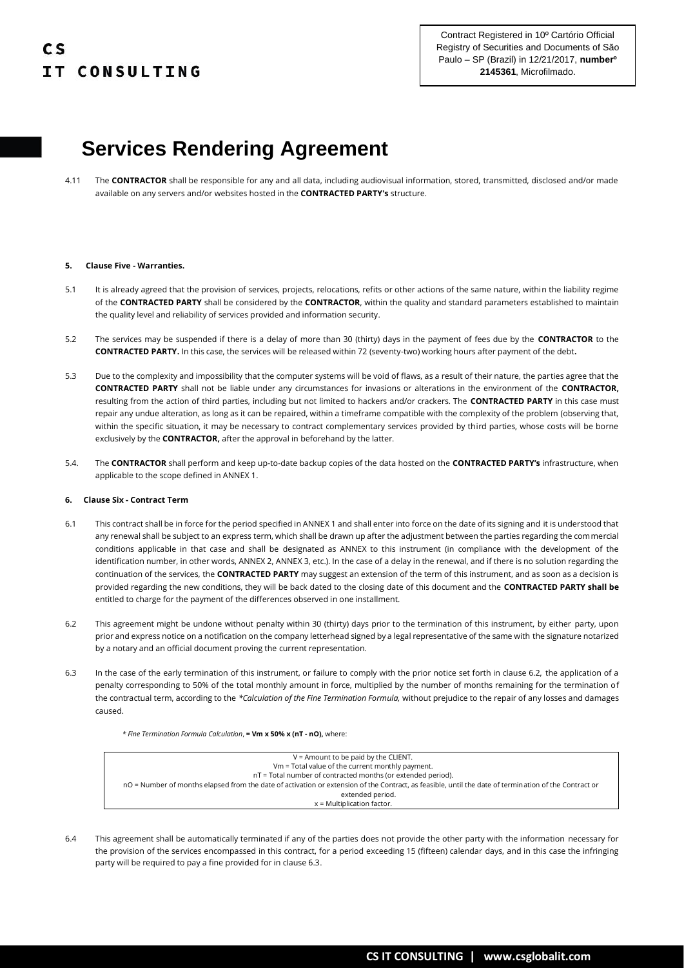4.11 The **CONTRACTOR** shall be responsible for any and all data, including audiovisual information, stored, transmitted, disclosed and/or made available on any servers and/or websites hosted in the **CONTRACTED PARTY's** structure.

#### **5. Clause Five - Warranties.**

- 5.1 It is already agreed that the provision of services, projects, relocations, refits or other actions of the same nature, within the liability regime of the **CONTRACTED PARTY** shall be considered by the **CONTRACTOR**, within the quality and standard parameters established to maintain the quality level and reliability of services provided and information security.
- 5.2 The services may be suspended if there is a delay of more than 30 (thirty) days in the payment of fees due by the **CONTRACTOR** to the **CONTRACTED PARTY.** In this case, the services will be released within 72 (seventy-two) working hours after payment of the debt**.**
- 5.3 Due to the complexity and impossibility that the computer systems will be void of flaws, as a result of their nature, the parties agree that the **CONTRACTED PARTY** shall not be liable under any circumstances for invasions or alterations in the environment of the **CONTRACTOR,** resulting from the action of third parties, including but not limited to hackers and/or crackers. The **CONTRACTED PARTY** in this case must repair any undue alteration, as long as it can be repaired, within a timeframe compatible with the complexity of the problem (observing that, within the specific situation, it may be necessary to contract complementary services provided by third parties, whose costs will be borne exclusively by the **CONTRACTOR,** after the approval in beforehand by the latter.
- 5.4. The **CONTRACTOR** shall perform and keep up-to-date backup copies of the data hosted on the **CONTRACTED PARTY's** infrastructure, when applicable to the scope defined in ANNEX 1.

#### **6. Clause Six - Contract Term**

- 6.1 This contract shall be in force for the period specified in ANNEX 1 and shall enter into force on the date of its signing and it is understood that any renewal shall be subject to an express term, which shall be drawn up after the adjustment between the parties regarding the commercial conditions applicable in that case and shall be designated as ANNEX to this instrument (in compliance with the development of the identification number, in other words, ANNEX 2, ANNEX 3, etc.). In the case of a delay in the renewal, and if there is no solution regarding the continuation of the services, the **CONTRACTED PARTY** may suggest an extension of the term of this instrument, and as soon as a decision is provided regarding the new conditions, they will be back dated to the closing date of this document and the **CONTRACTED PARTY shall be** entitled to charge for the payment of the differences observed in one installment.
- 6.2 This agreement might be undone without penalty within 30 (thirty) days prior to the termination of this instrument, by either party, upon prior and express notice on a notification on the company letterhead signed by a legal representative of the same with the signature notarized by a notary and an official document proving the current representation.
- 6.3 In the case of the early termination of this instrument, or failure to comply with the prior notice set forth in clause 6.2, the application of a penalty corresponding to 50% of the total monthly amount in force, multiplied by the number of months remaining for the termination of the contractual term, according to the *\*Calculation of the Fine Termination Formula,* without prejudice to the repair of any losses and damages caused.

*\* Fine Termination Formula Calculation*, **= Vm x 50% x (nT - nO),** where:

| $V =$ Amount to be paid by the CLIENT.                                                                                                                |
|-------------------------------------------------------------------------------------------------------------------------------------------------------|
| Vm = Total value of the current monthly payment.                                                                                                      |
| nT = Total number of contracted months (or extended period).                                                                                          |
| nO = Number of months elapsed from the date of activation or extension of the Contract, as feasible, until the date of termination of the Contract or |
| extended period.                                                                                                                                      |
| $x = Multiblication factor.$                                                                                                                          |

6.4 This agreement shall be automatically terminated if any of the parties does not provide the other party with the information necessary for the provision of the services encompassed in this contract, for a period exceeding 15 (fifteen) calendar days, and in this case the infringing party will be required to pay a fine provided for in clause 6.3.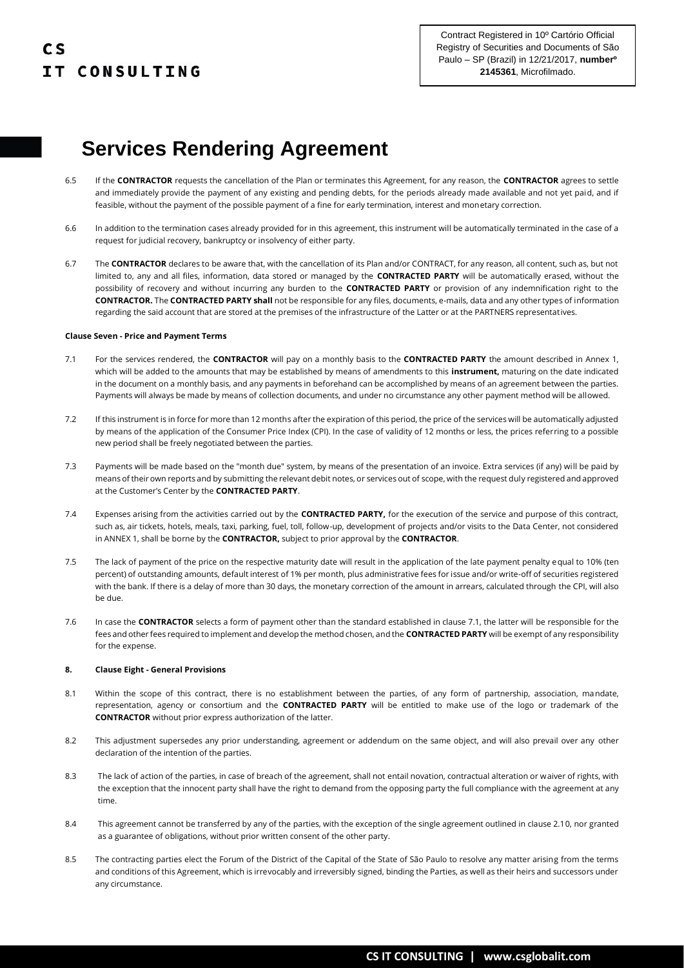- 6.5 If the **CONTRACTOR** requests the cancellation of the Plan or terminates this Agreement, for any reason, the **CONTRACTOR** agrees to settle and immediately provide the payment of any existing and pending debts, for the periods already made available and not yet paid, and if feasible, without the payment of the possible payment of a fine for early termination, interest and monetary correction.
- 6.6 In addition to the termination cases already provided for in this agreement, this instrument will be automatically terminated in the case of a request for judicial recovery, bankruptcy or insolvency of either party.
- 6.7 The **CONTRACTOR** declares to be aware that, with the cancellation of its Plan and/or CONTRACT, for any reason, all content, such as, but not limited to, any and all files, information, data stored or managed by the **CONTRACTED PARTY** will be automatically erased, without the possibility of recovery and without incurring any burden to the **CONTRACTED PARTY** or provision of any indemnification right to the **CONTRACTOR.** The **CONTRACTED PARTY shall** not be responsible for any files, documents, e-mails, data and any other types of information regarding the said account that are stored at the premises of the infrastructure of the Latter or at the PARTNERS representatives.

### **Clause Seven - Price and Payment Terms**

- 7.1 For the services rendered, the **CONTRACTOR** will pay on a monthly basis to the **CONTRACTED PARTY** the amount described in Annex 1, which will be added to the amounts that may be established by means of amendments to this **instrument,** maturing on the date indicated in the document on a monthly basis, and any payments in beforehand can be accomplished by means of an agreement between the parties. Payments will always be made by means of collection documents, and under no circumstance any other payment method will be allowed.
- 7.2 If this instrument is in force for more than 12 months after the expiration of this period, the price of the services will be automatically adjusted by means of the application of the Consumer Price Index (CPI). In the case of validity of 12 months or less, the prices referring to a possible new period shall be freely negotiated between the parties.
- 7.3 Payments will be made based on the "month due" system, by means of the presentation of an invoice. Extra services (if any) will be paid by means of their own reports and by submitting the relevant debit notes, or services out of scope, with the request duly registered and approved at the Customer's Center by the **CONTRACTED PARTY**.
- 7.4 Expenses arising from the activities carried out by the **CONTRACTED PARTY,** for the execution of the service and purpose of this contract, such as, air tickets, hotels, meals, taxi, parking, fuel, toll, follow-up, development of projects and/or visits to the Data Center, not considered in ANNEX 1, shall be borne by the **CONTRACTOR,** subject to prior approval by the **CONTRACTOR**.
- 7.5 The lack of payment of the price on the respective maturity date will result in the application of the late payment penalty equal to 10% (ten percent) of outstanding amounts, default interest of 1% per month, plus administrative fees for issue and/or write-off of securities registered with the bank. If there is a delay of more than 30 days, the monetary correction of the amount in arrears, calculated through the CPI, will also be due.
- 7.6 In case the **CONTRACTOR** selects a form of payment other than the standard established in clause 7.1, the latter will be responsible for the fees and other fees required to implement and develop the method chosen, and the **CONTRACTED PARTY** will be exempt of any responsibility for the expense.

#### **8. Clause Eight - General Provisions**

- 8.1 Within the scope of this contract, there is no establishment between the parties, of any form of partnership, association, mandate, representation, agency or consortium and the **CONTRACTED PARTY** will be entitled to make use of the logo or trademark of the **CONTRACTOR** without prior express authorization of the latter.
- 8.2 This adjustment supersedes any prior understanding, agreement or addendum on the same object, and will also prevail over any other declaration of the intention of the parties.
- 8.3 The lack of action of the parties, in case of breach of the agreement, shall not entail novation, contractual alteration or waiver of rights, with the exception that the innocent party shall have the right to demand from the opposing party the full compliance with the agreement at any time.
- 8.4 This agreement cannot be transferred by any of the parties, with the exception of the single agreement outlined in clause 2.10, nor granted as a guarantee of obligations, without prior written consent of the other party.
- 8.5 The contracting parties elect the Forum of the District of the Capital of the State of São Paulo to resolve any matter arising from the terms and conditions of this Agreement, which is irrevocably and irreversibly signed, binding the Parties, as well as their heirs and successors under any circumstance.